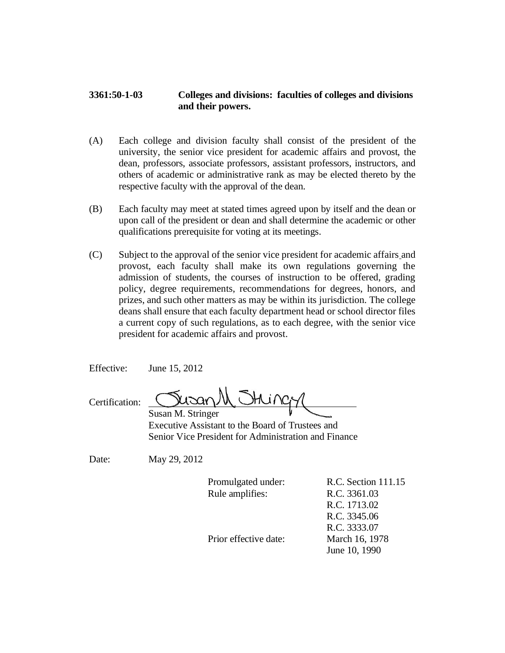## **3361:50-1-03 Colleges and divisions: faculties of colleges and divisions and their powers.**

- (A) Each college and division faculty shall consist of the president of the university, the senior vice president for academic affairs and provost, the dean, professors, associate professors, assistant professors, instructors, and others of academic or administrative rank as may be elected thereto by the respective faculty with the approval of the dean.
- (B) Each faculty may meet at stated times agreed upon by itself and the dean or upon call of the president or dean and shall determine the academic or other qualifications prerequisite for voting at its meetings.
- (C) Subject to the approval of the senior vice president for academic affairs and provost, each faculty shall make its own regulations governing the admission of students, the courses of instruction to be offered, grading policy, degree requirements, recommendations for degrees, honors, and prizes, and such other matters as may be within its jurisdiction. The college deans shall ensure that each faculty department head or school director files a current copy of such regulations, as to each degree, with the senior vice president for academic affairs and provost.

Effective: June 15, 2012

Certification: Susan M. Stringer

 Executive Assistant to the Board of Trustees and Senior Vice President for Administration and Finance

Date: May 29, 2012

Rule amplifies: R.C. 3361.03

Promulgated under: R.C. Section 111.15 R.C. 1713.02 R.C. 3345.06 R.C. 3333.07 June 10, 1990

Prior effective date: March 16, 1978